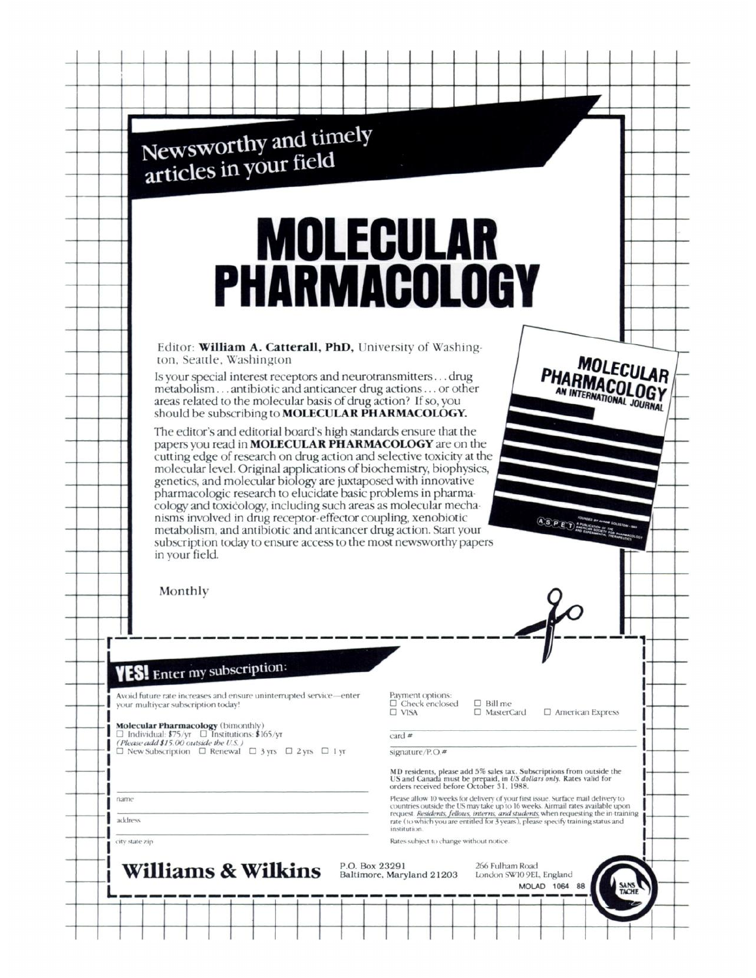|         | Newsworthy and timely<br>articles in your field                                                                                                                                                                                                                                              |                                                          |                                |                                                                                                                                                                                                                                                           |
|---------|----------------------------------------------------------------------------------------------------------------------------------------------------------------------------------------------------------------------------------------------------------------------------------------------|----------------------------------------------------------|--------------------------------|-----------------------------------------------------------------------------------------------------------------------------------------------------------------------------------------------------------------------------------------------------------|
|         |                                                                                                                                                                                                                                                                                              |                                                          |                                |                                                                                                                                                                                                                                                           |
|         | <b>MOLECULAR</b>                                                                                                                                                                                                                                                                             |                                                          |                                |                                                                                                                                                                                                                                                           |
|         | <b>PHARMACOLOGY</b>                                                                                                                                                                                                                                                                          |                                                          |                                |                                                                                                                                                                                                                                                           |
|         |                                                                                                                                                                                                                                                                                              |                                                          |                                |                                                                                                                                                                                                                                                           |
|         |                                                                                                                                                                                                                                                                                              |                                                          |                                |                                                                                                                                                                                                                                                           |
|         | Editor: William A. Catterall, PhD, University of Washing-                                                                                                                                                                                                                                    |                                                          |                                |                                                                                                                                                                                                                                                           |
|         | ton, Seattle, Washington<br>Is your special interest receptors and neurotransmittersdrug                                                                                                                                                                                                     |                                                          |                                | <b>MOLECULAR</b>                                                                                                                                                                                                                                          |
|         | metabolism antibiotic and anticancer drug actions or other<br>areas related to the molecular basis of drug action? If so, you                                                                                                                                                                |                                                          |                                | PHARMACOLOGY                                                                                                                                                                                                                                              |
|         | should be subscribing to MOLECULAR PHARMACOLOGY.<br>The editor's and editorial board's high standards ensure that the                                                                                                                                                                        |                                                          |                                |                                                                                                                                                                                                                                                           |
|         | genetics, and molecular biology are juxtaposed with innovative<br>pharmacologic research to elucidate basic problems in pharma-                                                                                                                                                              |                                                          |                                |                                                                                                                                                                                                                                                           |
|         | cology and toxicology, including such areas as molecular mecha-<br>nisms involved in drug receptor-effector coupling, xenobiotic<br>metabolism, and antibiotic and anticancer drug action. Start your<br>subscription today to ensure access to the most newsworthy papers<br>in your field. |                                                          |                                | ASPET AMERICAN BOOTTE                                                                                                                                                                                                                                     |
|         | Monthly                                                                                                                                                                                                                                                                                      |                                                          |                                |                                                                                                                                                                                                                                                           |
|         |                                                                                                                                                                                                                                                                                              |                                                          |                                |                                                                                                                                                                                                                                                           |
|         | <b>YES!</b> Enter my subscription:                                                                                                                                                                                                                                                           |                                                          |                                |                                                                                                                                                                                                                                                           |
|         | Avoid future rate increases and ensure uninterrupted service-enter<br>your multivear subscription today!                                                                                                                                                                                     | Payment options:<br>$\Box$ Check enclosed<br>$\Box$ VISA | $\Box$ Bill me<br>□ MasterCard |                                                                                                                                                                                                                                                           |
|         | Molecular Pharmacology (bimonthly)<br>$\Box$ Individual: \$75/yr $\Box$ Institutions: \$165/yr                                                                                                                                                                                               |                                                          |                                | $\Box$ American Express                                                                                                                                                                                                                                   |
|         | (Please add \$15.00 outside the U.S.)<br>$\Box$ New Subscription $\Box$ Renewal $\Box$ 3 yrs $\Box$ 2 yrs $\Box$ 1 yr                                                                                                                                                                        | card $#$<br>signature/ $P.O.$ #                          |                                |                                                                                                                                                                                                                                                           |
|         |                                                                                                                                                                                                                                                                                              |                                                          |                                | MD residents, please add 5% sales tax. Subscriptions from outside the<br>US and Canada must be prepaid, in US dollars only. Rates valid for                                                                                                               |
| name    |                                                                                                                                                                                                                                                                                              | orders received before October 31, 1988.                 |                                | Please allow 10 weeks for delivery of your first issue. Surface mail delivery to                                                                                                                                                                          |
| address |                                                                                                                                                                                                                                                                                              | institution.                                             |                                | countries outside the US may take up to 16 weeks. Airmail rates available upon<br>request. Residents, fellows, interns, and students, when requesting the in-training<br>rate (to which you are entitled for 3 years), please specify training status and |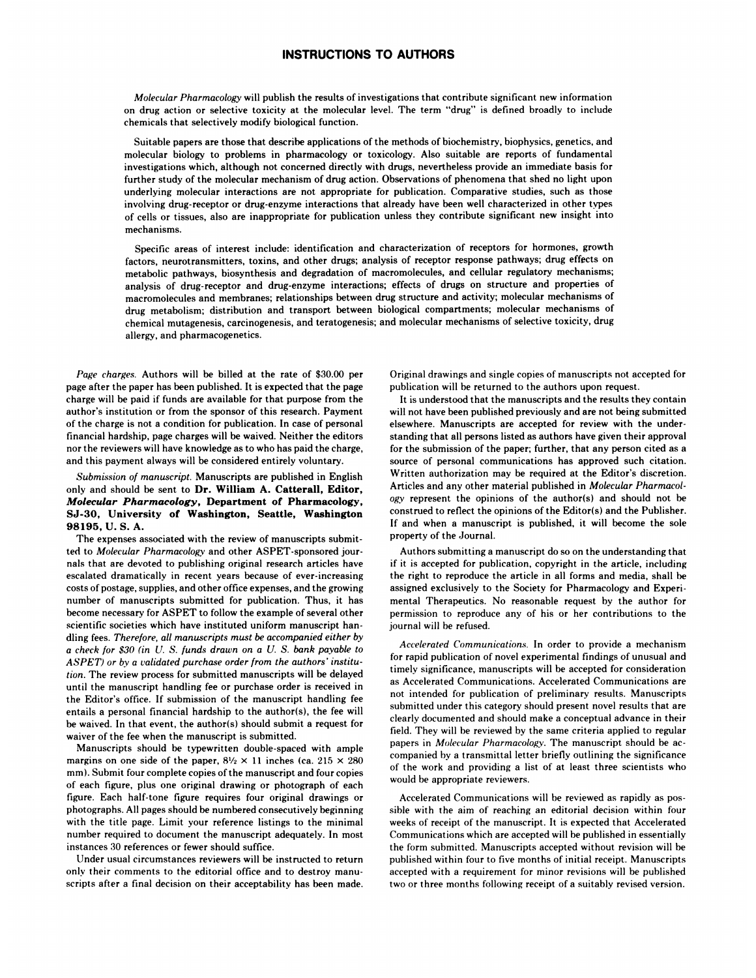## **INSTRUCTIONS TO AUTHORS**

*Molecular Pharmacology* will publish the results of investigations that contribute significant new information on drug action or selective toxicity at the molecular level. The term "drug" is defined broadly to include chemicals that selectively modify biological function.

Suitable papers are those that describe applications of the methods of biochemistry, biophysics, genetics, and molecular biology to problems in pharmacology or toxicology. Also suitable are reports of fundamental investigations which, although not concerned directly with drugs, nevertheless provide an immediate basis for further study of the molecular mechanism of drug action. Observations of phenomena that shed no light upon underlying molecular interactions are not appropriate for publication. Comparative studies, such as those involving drug-receptor or drug-enzyme interactions that already have been well characterized in other types of cells or tissues, also are inappropriate for publication unless they contribute significant new insight into mechanisms.

Specific areas of interest include: identification and characterization of receptors for hormones, growth factors, neurotransmitters, toxins, and other drugs; analysis of receptor response pathways; drug effects on metabolic pathways, biosynthesis and degradation of macromolecules, and cellular regulatory mechanisms; analysis of drug-receptor and drug-enzyme interactions; effects of drugs on structure and properties of macromolecules and membranes; relationships between drug structure and activity; molecular mechanisms of drug metabolism; distribution and transport between biological compartments; molecular mechanisms of chemical mutagenesis, carcinogenesis, and teratogenesis; and molecular mechanisms of selective toxicity, drug allergy, and pharmacogenetics.

*Page charges.* Authors will be billed at the rate of \$30.00 per page after the paper has been published. It is expected that the page charge will be paid if funds are available for that purpose from the author's institution or from thesponsor of this research. Payment of the charge is not a condition for publication. In case of personal financial hardship, page charges will be waived. Neither the editors nor the reviewers will have knowledge as to who has paid the charge, and this payment always will be considered entirely voluntary.

## *Submission of manuscript.* Manuscripts are published in English only and should be sent to **Dr. William A. Catterall, Editor,** *Molecular Pharmacology,* **Department of Pharmacology, SJ-30, University of Washington, Seattle, Washington** 98195, U. S. A.

The expenses associated with the review of manuscripts submitted to *Molecular Pharmacology* and other ASPET-sponsored jour nals that are devoted to publishing original research articles have escalated dramatically in recent years because of ever-increasing costs of postage, supplies, and other office expenses, and the growing number of manuscripts submitted for publication. Thus, it has become necessary for ASPET to follow the example of several other scientific societies which have instituted uniform manuscript han dling fees. *Therefore, all manuscripts must be accompanied either by a check for \$30 (in U. S. funds drawn on a U. S. bank payable to ASPET) or by a validated purchase order from the authors* '*institution.* The review process for submitted manuscripts will be delayed until the manuscript handling fee or purchase order is received in the Editor's office. If submission of the manuscript handling fee entails a personal financial hardship to the author(s), the fee will be waived. In that event, the author(s) should submit a request for waiver of the fee when the manuscript is submitted.

Manuscripts should be typewritten double-spaced with ample margins on one side of the paper,  $8\frac{1}{2} \times 11$  inches (ca. 215  $\times$  280) mm). Submit four complete copies of the manuscript and four copies of each figure, plus one original drawing or photograph of each figure. Each half-tone figure requires four original drawings or photographs. All pages should be numbered consecutively beginning with the title page. Limit your reference listings to the minimal number required to document the manuscript adequately. In most instances 30 references or fewer should suffice.

Under usual circumstances reviewers will be instructed to return only their comments to the editorial office and to destroy manu scripts after a final decision on their acceptability has been made.

Original drawings and single copies of manuscripts not accepted for publication will be returned to the authors upon request.

It is understood that the manuscripts and the results they contain will not have been published previously and are not being submitted elsewhere. Manuscripts are accepted for review with the under standing that all persons listed as authors have given their approval for the submission of the paper; further, that any person cited as a source of personal communications has approved such citation. Written authorization may be required at the Editor's discretion. Articles and any other material published in *Mok'culor Pharmacol ogy* represent the opinions of the author(s) and should not be construed to reflect the opinions of the Editor(s) and the Publisher. If and when a manuscript is published, it will become the sole property of the Journal.

Authors submitting a manuscript do so on the understanding that if it is accepted for publication, copyright in the article, including the right to reproduce the article in all forms and media, shall be assigned exclusively to the Society for Pharmacology and Experi mental Therapeutics. No reasonable request by the author for permission to reproduce any of his or her contributions to the journal will be refused.

*Accelerated Communications.* In order to provide a mechanism for rapid publication of novel experimental findings of unusual and timely significance, manuscripts will be accepted for consideration **as** Accelerated Communications. Accelerated Communications are not intended for publication of preliminary results. Manuscripts submitted under this category should present novel results that are clearly documented and should make a conceptual advance in their field. They will be reviewed by the same criteria applied to regular papers in *Molecular Pharmacology.* The manuscript should be ac companied by a transmittal letter briefly outlining the significance of the work and providing a list of at least three scientists who would be appropriate reviewers.

Accelerated Communications will be reviewed as rapidly as pos sible with the aim of reaching an editorial decision within four weeks of receipt of the manuscript. It is expected that Accelerated Communications which are accepted will be published in essentially the form submitted. Manuscripts accepted without revision will be published within four to five months of initial receipt. Manuscripts accepted with a requirement for minor revisions will be published two or three months following receipt of a suitably revised version.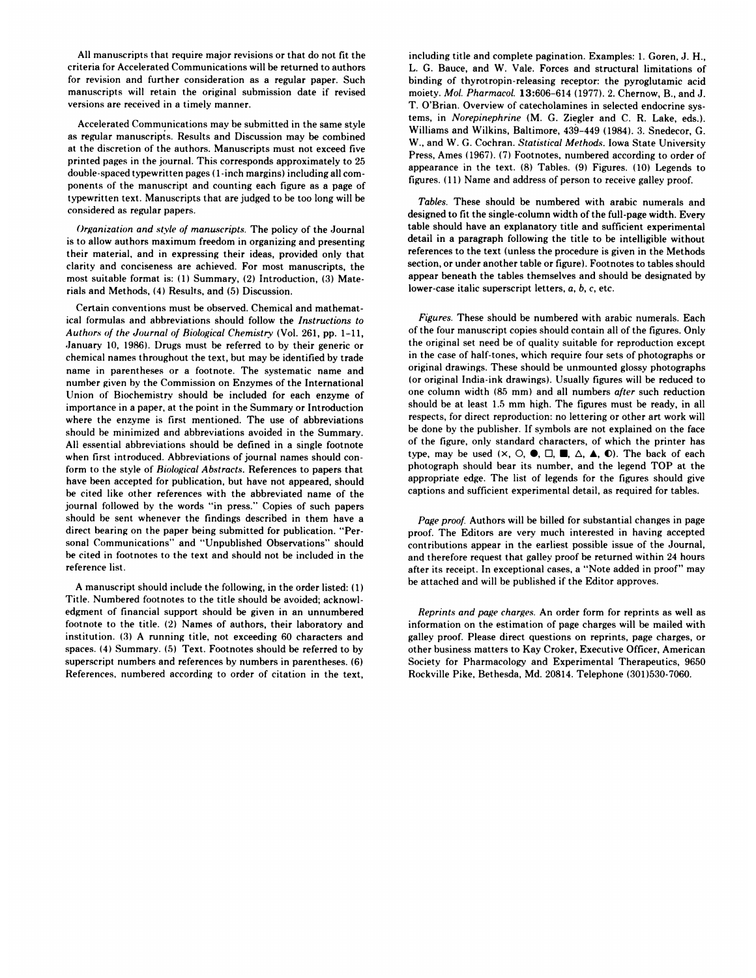All manuscripts that require major revisions or that do not fit the criteria for Accelerated Communications will be returned to authors for revision and further consideration as a regular paper. Such manuscripts will retain the original submission date if revised versions are received in a timely manner.

Accelerated Communications may be submitted in the same style as regular manuscripts. Results and Discussion may be combined at the discretion of the authors. Manuscripts must not exceed five printed pages in the journal. This corresponds approximately to 25 double-spaced typewritten pages ( 1 -inch margins) including all com ponents of the manuscript and counting each figure as a page of typewritten text. Manuscripts that are judged to be too long will be considered as regular papers.

*Organization and style of manuscripts.* The policy of the Journal is to allow authors maximum freedom in organizing and presenting their material, and in expressing their ideas, provided only that clarity and conciseness are achieved. For most manuscripts, the most suitable format is: (1) Summary, (2) Introduction, (3) Materials and Methods, (4) Results, and (5) Discussion.

Certain conventions must be observed. Chemical and mathematical formulas and abbreviations should follow the *Instructions to Authors of the Journal of Biological Chemistry* (Vol. 261, pp. 1-11, January 10, 1986). Drugs must be referred to by their generic or chemical names throughout the text, but may be identified by trade name in parentheses or a footnote. The systematic name and number given by the Commission on Enzymes of the International Union of Biochemistry should be included for each enzyme of importance in a paper, at the point in the Summary or Introduction where the enzyme is first mentioned. The use of abbreviations should be minimized and abbreviations avoided in the Summary. All essential abbreviations should be defined in a single footnote when first introduced. Abbreviations of journal names should conform to the style of *Biological Abstracts.* References to papers that have been accepted for publication, but have not appeared, should be cited like other references with the abbreviated name of the journal followed by the words "in press." Copies of such papers should be sent whenever the findings described in them have a direct bearing on the paper being submitted for publication. "Per sonal Communications" and "Unpublished Observations" should be cited in footnotes to the text and should not be included in the reference list.

A manuscript should include the following, in the order listed: (1) Title. Numbered footnotes to the title should be avoided; acknowl edgment of financial support should be given in an unnumbered footnote to the title. (2) Names of authors, their laboratory and institution. (3) A running title, not exceeding 60 characters and spaces. (4) Summary. (5) Text. Footnotes should be referred to by superscript numbers and references by numbers in parentheses. (6) References, numbered according to order of citation in the text,

including title and complete pagination. Examples: 1. Goren, J. H., L. G. Bauce, and W. Vale. Forces and structural limitations of binding of thyrotropin-releasing receptor: the pyroglutamic acid moiety. *Mol. Pharmacol.* 13:606-614 (1977). 2. Chernow, B., and J. T. O'Brian. Overview of catecholamines in selected endocrine systems, in *Norepinephrine* (M. G. Ziegler and C. R. Lake, eds.). Williams and Wilkins, Baltimore, 439-449 (1984). 3. Snedecor, G. W., and W.G. Cochran. *Statistical Methods.* Iowa State University Press, Ames (1967). (7) Footnotes, numbered according to order of appearance in the text. (8) Tables. (9) Figures. (10) Legends to figures. (11) Name and address of person to receive galley proof.

*Tables.* These should be numbered with arabic numerals and designed to fit the single-column width of the full-page width. Every table should have an explanatory title and sufficient experimental detail in a paragraph following the title to be intelligible without references to the text (unless the procedure is given in the Methods section, or under another table or figure). Footnotes to tables should appear beneath the tables themselves and should be designated by lower-case italic superscript letters, *a, b, c,* etc.

*Figures.* These should be numbered with arabic numerals. Each *of* the four manuscript copies should contain all of the figures. Only the original set need be of quality suitable for reproduction except in the case of half-tones, which require four sets of photographs or original drawings. These should be unmounted glossy photographs (or original India-ink drawings). Usually figures will be reduced to one column width (85 mm) and all numbers *after* such reduction should be at least 1.5 mm high. The figures must be ready, in allrespects, for direct reproduction: no lettering or other art work will be done by the publisher. If symbols are not explained on the face of the figure, only standard characters, of which the printer has type, may be used  $(X, \bigcirc, \bullet, \Box, \blacksquare, \triangle, \blacktriangle, \bullet)$ . The back of each photograph should bear its number, and the legend TOP at the appropriate edge. The list of legends for the figures should give captions and sufficient experimental detail, as required for tables.

*Page proof* Authors will be billed for substantial changes in page proof. The Editors are very much interested in having accepted contributions appear in the earliest possible issue of the Journal, and therefore request that galley proof be returned within 24 hours after its receipt. In exceptional cases, a "Note added in proof" may be attached and will be published if the Editor approves.

*Reprints and page charges.* An order form for reprints as well as information on the estimation of page charges will be mailed with galley proof. Please direct questions on reprints, page charges, or other business matters to Kay Croker, Executive Officer, American Society for Pharmacology and Experimental Therapeutics, 9650 Rockville Pike, Bethesda, Md. 20814. Telephone (301)530-7060.